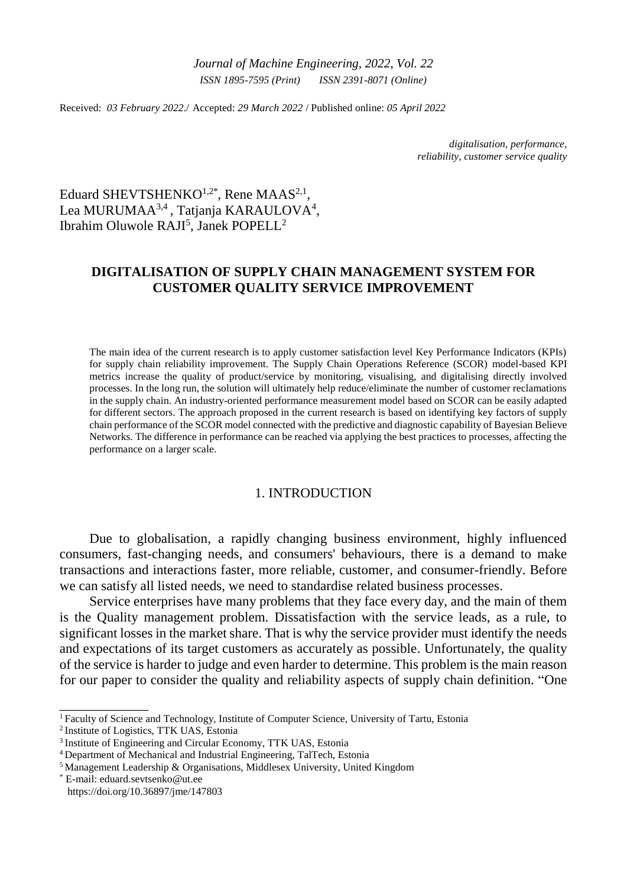*Journal of Machine Engineering, 2022*, *Vol. 22 ISSN 1895-7595 (Print) ISSN 2391-8071 (Online)*

Received: *03 February 2022*./ Accepted: *29 March 2022* / Published online: *05 April 2022*

*digitalisation, performance, reliability, customer service quality*

Eduard SHEVTSHENKO<sup>1,2\*</sup>, Rene MAAS<sup>2,1</sup>, Lea MURUMAA<sup>3,4</sup>, Tatjanja KARAULOVA<sup>4</sup>, Ibrahim Oluwole RAJI<sup>5</sup>, Janek POPELL<sup>2</sup>

# **DIGITALISATION OF SUPPLY CHAIN MANAGEMENT SYSTEM FOR CUSTOMER QUALITY SERVICE IMPROVEMENT**

The main idea of the current research is to apply customer satisfaction level Key Performance Indicators (KPIs) for supply chain reliability improvement. The Supply Chain Operations Reference (SCOR) model-based KPI metrics increase the quality of product/service by monitoring, visualising, and digitalising directly involved processes. In the long run, the solution will ultimately help reduce/eliminate the number of customer reclamations in the supply chain. An industry-oriented performance measurement model based on SCOR can be easily adapted for different sectors. The approach proposed in the current research is based on identifying key factors of supply chain performance of the SCOR model connected with the predictive and diagnostic capability of Bayesian Believe Networks. The difference in performance can be reached via applying the best practices to processes, affecting the performance on a larger scale.

### 1. INTRODUCTION

Due to globalisation, a rapidly changing business environment, highly influenced consumers, fast-changing needs, and consumers' behaviours, there is a demand to make transactions and interactions faster, more reliable, customer, and consumer-friendly. Before we can satisfy all listed needs, we need to standardise related business processes.

Service enterprises have many problems that they face every day, and the main of them is the Quality management problem. Dissatisfaction with the service leads, as a rule, to significant losses in the market share. That is why the service provider must identify the needs and expectations of its target customers as accurately as possible. Unfortunately, the quality of the service is harder to judge and even harder to determine. This problem is the main reason for our paper to consider the quality and reliability aspects of supply chain definition. "One

\_\_\_\_\_\_\_\_\_\_\_\_\_

<sup>1</sup>Faculty of Science and Technology, Institute of Computer Science, University of Tartu, Estonia

<sup>2</sup>Institute of Logistics, TTK UAS, Estonia

<sup>&</sup>lt;sup>3</sup> Institute of Engineering and Circular Economy, TTK UAS, Estonia

<sup>4</sup>Department of Mechanical and Industrial Engineering, TalTech, Estonia

<sup>5</sup>Management Leadership & Organisations, Middlesex University, United Kingdom

<sup>\*</sup> E-mail: eduard.sevtsenko@ut.ee https://doi.org/10.36897/jme/147803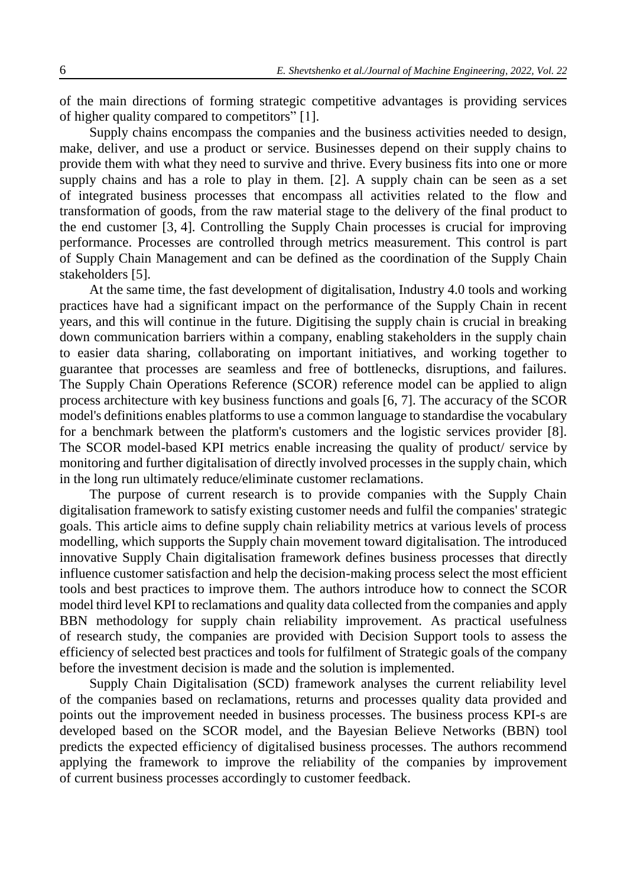of the main directions of forming strategic competitive advantages is providing services of higher quality compared to competitors" [1].

Supply chains encompass the companies and the business activities needed to design, make, deliver, and use a product or service. Businesses depend on their supply chains to provide them with what they need to survive and thrive. Every business fits into one or more supply chains and has a role to play in them. [2]. A supply chain can be seen as a set of integrated business processes that encompass all activities related to the flow and transformation of goods, from the raw material stage to the delivery of the final product to the end customer [3, 4]. Controlling the Supply Chain processes is crucial for improving performance. Processes are controlled through metrics measurement. This control is part of Supply Chain Management and can be defined as the coordination of the Supply Chain stakeholders [5].

At the same time, the fast development of digitalisation, Industry 4.0 tools and working practices have had a significant impact on the performance of the Supply Chain in recent years, and this will continue in the future. Digitising the supply chain is crucial in breaking down communication barriers within a company, enabling stakeholders in the supply chain to easier data sharing, collaborating on important initiatives, and working together to guarantee that processes are seamless and free of bottlenecks, disruptions, and failures. The Supply Chain Operations Reference (SCOR) reference model can be applied to align process architecture with key business functions and goals [6, 7]. The accuracy of the SCOR model's definitions enables platforms to use a common language to standardise the vocabulary for a benchmark between the platform's customers and the logistic services provider [8]. The SCOR model-based KPI metrics enable increasing the quality of product/ service by monitoring and further digitalisation of directly involved processes in the supply chain, which in the long run ultimately reduce/eliminate customer reclamations.

The purpose of current research is to provide companies with the Supply Chain digitalisation framework to satisfy existing customer needs and fulfil the companies' strategic goals. This article aims to define supply chain reliability metrics at various levels of process modelling, which supports the Supply chain movement toward digitalisation. The introduced innovative Supply Chain digitalisation framework defines business processes that directly influence customer satisfaction and help the decision-making process select the most efficient tools and best practices to improve them. The authors introduce how to connect the SCOR model third level KPI to reclamations and quality data collected from the companies and apply BBN methodology for supply chain reliability improvement. As practical usefulness of research study, the companies are provided with Decision Support tools to assess the efficiency of selected best practices and tools for fulfilment of Strategic goals of the company before the investment decision is made and the solution is implemented.

Supply Chain Digitalisation (SCD) framework analyses the current reliability level of the companies based on reclamations, returns and processes quality data provided and points out the improvement needed in business processes. The business process KPI-s are developed based on the SCOR model, and the Bayesian Believe Networks (BBN) tool predicts the expected efficiency of digitalised business processes. The authors recommend applying the framework to improve the reliability of the companies by improvement of current business processes accordingly to customer feedback.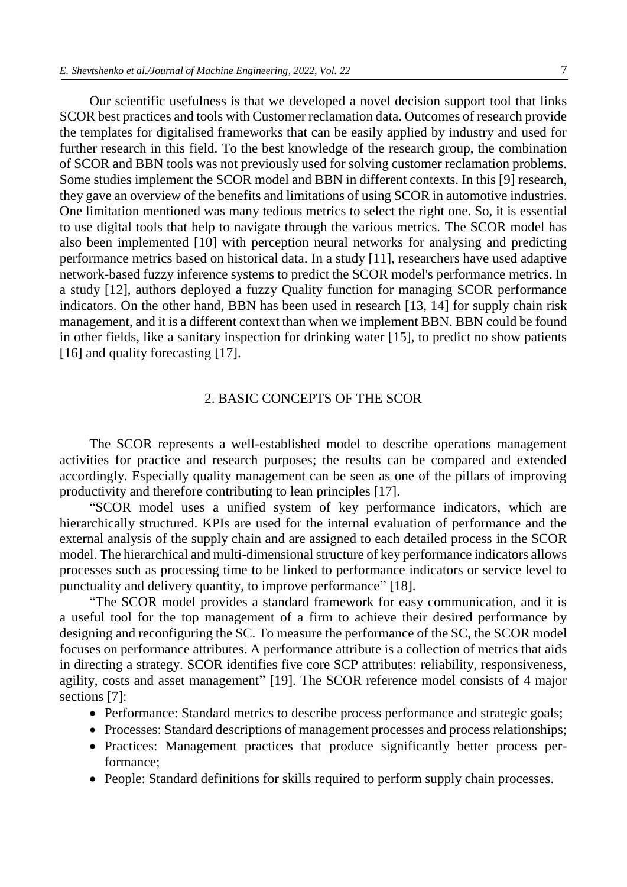Our scientific usefulness is that we developed a novel decision support tool that links SCOR best practices and tools with Customer reclamation data. Outcomes of research provide the templates for digitalised frameworks that can be easily applied by industry and used for further research in this field. To the best knowledge of the research group, the combination of SCOR and BBN tools was not previously used for solving customer reclamation problems. Some studies implement the SCOR model and BBN in different contexts. In this [9] research, they gave an overview of the benefits and limitations of using SCOR in automotive industries. One limitation mentioned was many tedious metrics to select the right one. So, it is essential to use digital tools that help to navigate through the various metrics. The SCOR model has also been implemented [10] with perception neural networks for analysing and predicting performance metrics based on historical data. In a study [11], researchers have used adaptive network-based fuzzy inference systems to predict the SCOR model's performance metrics. In a study [12], authors deployed a fuzzy Quality function for managing SCOR performance indicators. On the other hand, BBN has been used in research [13, 14] for supply chain risk management, and it is a different context than when we implement BBN. BBN could be found in other fields, like a sanitary inspection for drinking water [15], to predict no show patients [16] and quality forecasting [17].

## 2. BASIC CONCEPTS OF THE SCOR

The SCOR represents a well-established model to describe operations management activities for practice and research purposes; the results can be compared and extended accordingly. Especially quality management can be seen as one of the pillars of improving productivity and therefore contributing to lean principles [17].

"SCOR model uses a unified system of key performance indicators, which are hierarchically structured. KPIs are used for the internal evaluation of performance and the external analysis of the supply chain and are assigned to each detailed process in the SCOR model. The hierarchical and multi-dimensional structure of key performance indicators allows processes such as processing time to be linked to performance indicators or service level to punctuality and delivery quantity, to improve performance" [18].

"The SCOR model provides a standard framework for easy communication, and it is a useful tool for the top management of a firm to achieve their desired performance by designing and reconfiguring the SC. To measure the performance of the SC, the SCOR model focuses on performance attributes. A performance attribute is a collection of metrics that aids in directing a strategy. SCOR identifies five core SCP attributes: reliability, responsiveness, agility, costs and asset management" [19]. The SCOR reference model consists of 4 major sections [7]:

- Performance: Standard metrics to describe process performance and strategic goals;
- Processes: Standard descriptions of management processes and process relationships;
- Practices: Management practices that produce significantly better process performance;
- People: Standard definitions for skills required to perform supply chain processes.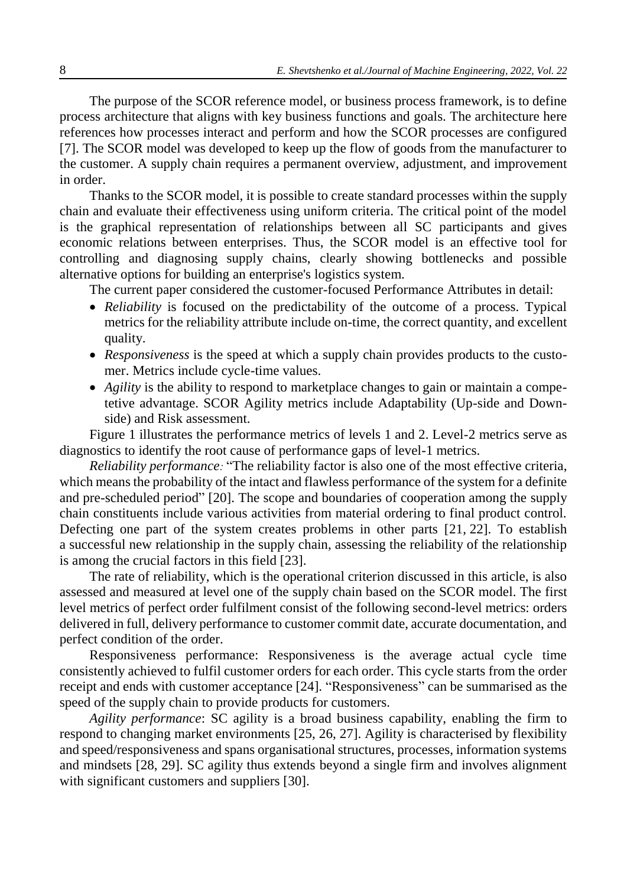The purpose of the SCOR reference model, or business process framework, is to define process architecture that aligns with key business functions and goals. The architecture here references how processes interact and perform and how the SCOR processes are configured [7]. The SCOR model was developed to keep up the flow of goods from the manufacturer to the customer. A supply chain requires a permanent overview, adjustment, and improvement in order.

Thanks to the SCOR model, it is possible to create standard processes within the supply chain and evaluate their effectiveness using uniform criteria. The critical point of the model is the graphical representation of relationships between all SC participants and gives economic relations between enterprises. Thus, the SCOR model is an effective tool for controlling and diagnosing supply chains, clearly showing bottlenecks and possible alternative options for building an enterprise's logistics system.

The current paper considered the customer-focused Performance Attributes in detail:

- *Reliability* is focused on the predictability of the outcome of a process. Typical metrics for the reliability attribute include on-time, the correct quantity, and excellent quality.
- *Responsiveness* is the speed at which a supply chain provides products to the customer. Metrics include cycle-time values.
- *Agility* is the ability to respond to marketplace changes to gain or maintain a competetive advantage. SCOR Agility metrics include Adaptability (Up-side and Downside) and Risk assessment.

Figure 1 illustrates the performance metrics of levels 1 and 2. Level-2 metrics serve as diagnostics to identify the root cause of performance gaps of level-1 metrics.

*Reliability performance:* "The reliability factor is also one of the most effective criteria, which means the probability of the intact and flawless performance of the system for a definite and pre-scheduled period" [20]. The scope and boundaries of cooperation among the supply chain constituents include various activities from material ordering to final product control. Defecting one part of the system creates problems in other parts [21, 22]. To establish a successful new relationship in the supply chain, assessing the reliability of the relationship is among the crucial factors in this field [23].

The rate of reliability, which is the operational criterion discussed in this article, is also assessed and measured at level one of the supply chain based on the SCOR model. The first level metrics of perfect order fulfilment consist of the following second-level metrics: orders delivered in full, delivery performance to customer commit date, accurate documentation, and perfect condition of the order.

Responsiveness performance: Responsiveness is the average actual cycle time consistently achieved to fulfil customer orders for each order. This cycle starts from the order receipt and ends with customer acceptance [24]. "Responsiveness" can be summarised as the speed of the supply chain to provide products for customers.

*Agility performance*: SC agility is a broad business capability, enabling the firm to respond to changing market environments [25, 26, 27]. Agility is characterised by flexibility and speed/responsiveness and spans organisational structures, processes, information systems and mindsets [28, 29]. SC agility thus extends beyond a single firm and involves alignment with significant customers and suppliers [30].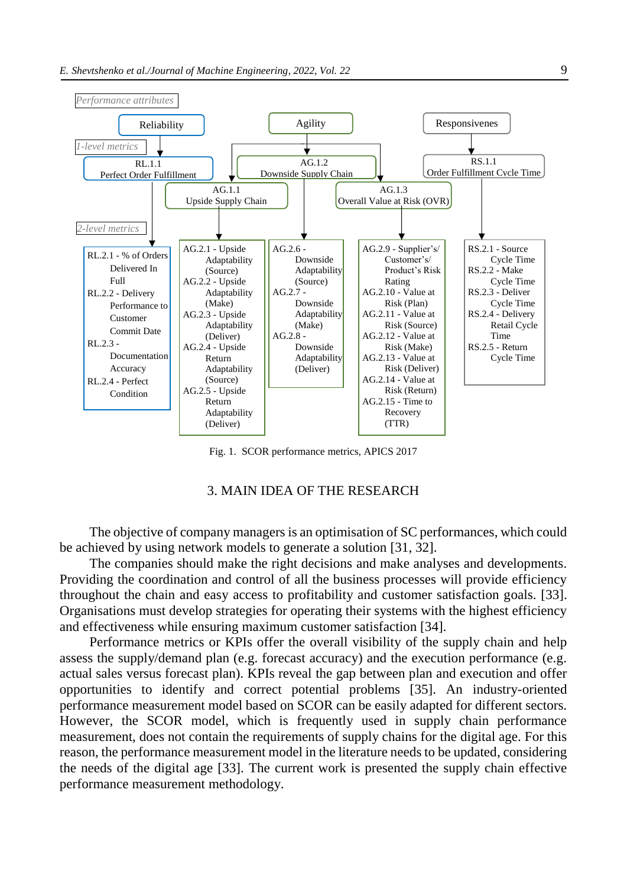

Fig. 1. SCOR performance metrics, APICS 2017

## 3. MAIN IDEA OF THE RESEARCH

The objective of company managers is an optimisation of SC performances, which could be achieved by using network models to generate a solution [31, 32].

The companies should make the right decisions and make analyses and developments. Providing the coordination and control of all the business processes will provide efficiency throughout the chain and easy access to profitability and customer satisfaction goals. [33]. Organisations must develop strategies for operating their systems with the highest efficiency and effectiveness while ensuring maximum customer satisfaction [34].

Performance metrics or KPIs offer the overall visibility of the supply chain and help assess the supply/demand plan (e.g. forecast accuracy) and the execution performance (e.g. actual sales versus forecast plan). KPIs reveal the gap between plan and execution and offer opportunities to identify and correct potential problems [35]. An industry-oriented performance measurement model based on SCOR can be easily adapted for different sectors. However, the SCOR model, which is frequently used in supply chain performance measurement, does not contain the requirements of supply chains for the digital age. For this reason, the performance measurement model in the literature needs to be updated, considering the needs of the digital age [33]. The current work is presented the supply chain effective performance measurement methodology.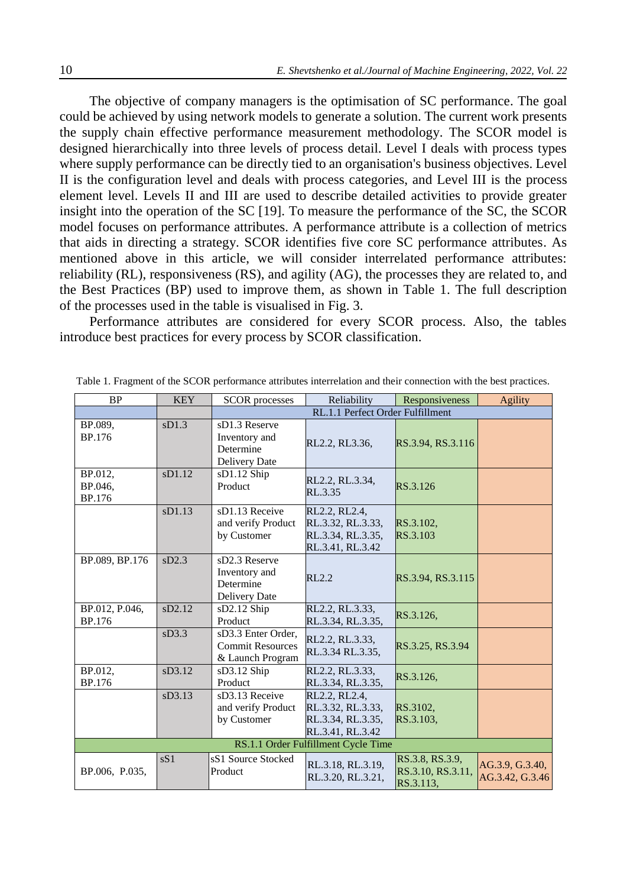The objective of company managers is the optimisation of SC performance. The goal could be achieved by using network models to generate a solution. The current work presents the supply chain effective performance measurement methodology. The SCOR model is designed hierarchically into three levels of process detail. Level I deals with process types where supply performance can be directly tied to an organisation's business objectives. Level II is the configuration level and deals with process categories, and Level III is the process element level. Levels II and III are used to describe detailed activities to provide greater insight into the operation of the SC [19]. To measure the performance of the SC, the SCOR model focuses on performance attributes. A performance attribute is a collection of metrics that aids in directing a strategy. SCOR identifies five core SC performance attributes. As mentioned above in this article, we will consider interrelated performance attributes: reliability (RL), responsiveness (RS), and agility (AG), the processes they are related to, and the Best Practices (BP) used to improve them, as shown in Table 1. The full description of the processes used in the table is visualised in Fig. 3.

Performance attributes are considered for every SCOR process. Also, the tables introduce best practices for every process by SCOR classification.

| <b>BP</b>                           | <b>KEY</b> | <b>SCOR</b> processes                                             | Reliability                                                                 | Responsiveness                                    | <b>Agility</b>                     |  |  |  |
|-------------------------------------|------------|-------------------------------------------------------------------|-----------------------------------------------------------------------------|---------------------------------------------------|------------------------------------|--|--|--|
|                                     |            | RL.1.1 Perfect Order Fulfillment                                  |                                                                             |                                                   |                                    |  |  |  |
| BP.089,<br>BP.176                   | sD1.3      | sD1.3 Reserve<br>Inventory and<br>Determine<br>Delivery Date      | RL2.2, RL3.36,                                                              | RS.3.94, RS.3.116                                 |                                    |  |  |  |
| BP.012,<br>BP.046,<br><b>BP.176</b> | sD1.12     | sD1.12 Ship<br>Product                                            | RL2.2, RL.3.34,<br>RL.3.35                                                  | RS.3.126                                          |                                    |  |  |  |
|                                     | sD1.13     | sD1.13 Receive<br>and verify Product<br>by Customer               | RL2.2, RL2.4,<br>RL.3.32, RL.3.33,<br>RL.3.34, RL.3.35,<br>RL.3.41, RL.3.42 | RS.3.102,<br>RS.3.103                             |                                    |  |  |  |
| BP.089, BP.176                      | sD2.3      | sD2.3 Reserve<br>Inventory and<br>Determine<br>Delivery Date      | <b>RL2.2</b>                                                                | RS.3.94, RS.3.115                                 |                                    |  |  |  |
| BP.012, P.046,<br><b>BP.176</b>     | sD2.12     | sD2.12 Ship<br>Product                                            | RL2.2, RL.3.33,<br>RL.3.34, RL.3.35,                                        | RS.3.126,                                         |                                    |  |  |  |
|                                     | sD3.3      | sD3.3 Enter Order,<br><b>Commit Resources</b><br>& Launch Program | RL2.2, RL.3.33,<br>RL.3.34 RL.3.35,                                         | RS.3.25, RS.3.94                                  |                                    |  |  |  |
| BP.012,<br><b>BP.176</b>            | sD3.12     | sD3.12 Ship<br>Product                                            | RL2.2, RL.3.33,<br>RL.3.34, RL.3.35,                                        | RS.3.126,                                         |                                    |  |  |  |
|                                     | sD3.13     | sD3.13 Receive<br>and verify Product<br>by Customer               | RL2.2, RL2.4,<br>RL.3.32, RL.3.33,<br>RL.3.34, RL.3.35,<br>RL.3.41, RL.3.42 | RS.3102,<br>RS.3.103,                             |                                    |  |  |  |
| RS.1.1 Order Fulfillment Cycle Time |            |                                                                   |                                                                             |                                                   |                                    |  |  |  |
| BP.006, P.035,                      | sS1        | sS1 Source Stocked<br>Product                                     | RL.3.18, RL.3.19,<br>RL.3.20, RL.3.21,                                      | RS.3.8, RS.3.9,<br>RS.3.10, RS.3.11,<br>RS.3.113, | AG.3.9, G.3.40,<br>AG.3.42, G.3.46 |  |  |  |

Table 1. Fragment of the SCOR performance attributes interrelation and their connection with the best practices.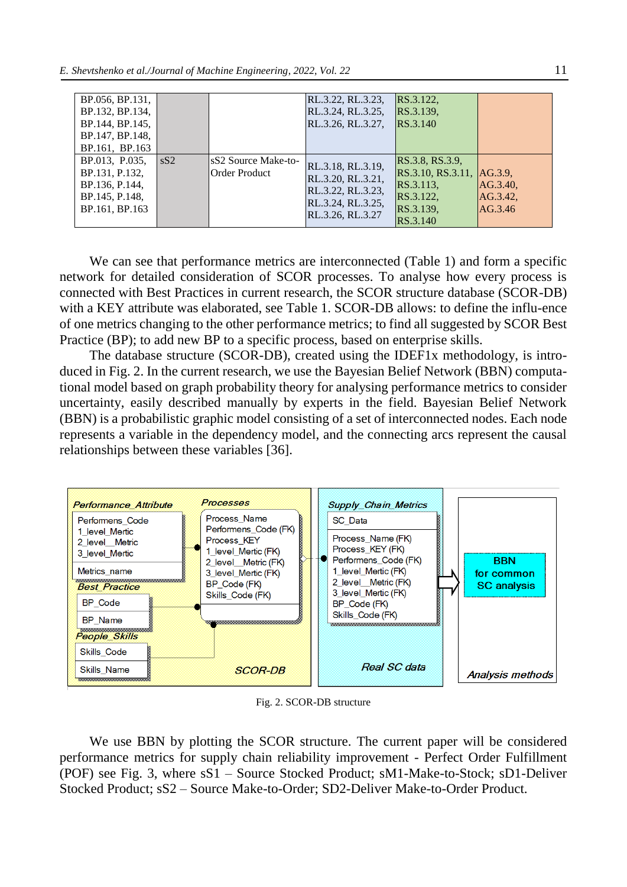| BP.056, BP.131,<br>BP.132, BP.134,<br>BP.144, BP.145,<br>BP.147, BP.148,<br>BP.161, BP.163 |     |                                      | RL.3.22, RL.3.23,<br>RL.3.24, RL.3.25,<br>RL.3.26, RL.3.27,                                          | RS.3.122,<br>RS.3.139,<br>RS.3.140                                                              |                                 |
|--------------------------------------------------------------------------------------------|-----|--------------------------------------|------------------------------------------------------------------------------------------------------|-------------------------------------------------------------------------------------------------|---------------------------------|
| BP.013, P.035,<br>BP.131, P.132,<br>BP.136, P.144,<br>BP.145, P.148,<br>BP.161, BP.163     | sS2 | sS2 Source Make-to-<br>Order Product | RL.3.18, RL.3.19,<br>RL.3.20, RL.3.21,<br>RL.3.22, RL.3.23,<br>RL.3.24, RL.3.25,<br>RL.3.26, RL.3.27 | RS.3.8, RS.3.9,<br>RS.3.10, RS.3.11, AG.3.9,<br>RS.3.113,<br>RS.3.122,<br>RS.3.139,<br>RS.3.140 | AG.3.40,<br>AG.3.42,<br>AG.3.46 |

We can see that performance metrics are interconnected (Table 1) and form a specific network for detailed consideration of SCOR processes. To analyse how every process is connected with Best Practices in current research, the SCOR structure database (SCOR-DB) with a KEY attribute was elaborated, see Table 1. SCOR-DB allows: to define the influ-ence of one metrics changing to the other performance metrics; to find all suggested by SCOR Best Practice (BP); to add new BP to a specific process, based on enterprise skills.

The database structure (SCOR-DB), created using the IDEF1x methodology, is introduced in Fig. 2. In the current research, we use the Bayesian Belief Network (BBN) computational model based on graph probability theory for analysing performance metrics to consider uncertainty, easily described manually by experts in the field. Bayesian Belief Network (BBN) is a probabilistic graphic model consisting of a set of interconnected nodes. Each node represents a variable in the dependency model, and the connecting arcs represent the causal relationships between these variables [36].



Fig. 2. SCOR-DB structure

We use BBN by plotting the SCOR structure. The current paper will be considered performance metrics for supply chain reliability improvement - Perfect Order Fulfillment (POF) see Fig. 3, where sS1 – Source Stocked Product; sM1-Make-to-Stock; sD1-Deliver Stocked Product; sS2 – Source Make-to-Order; SD2-Deliver Make-to-Order Product.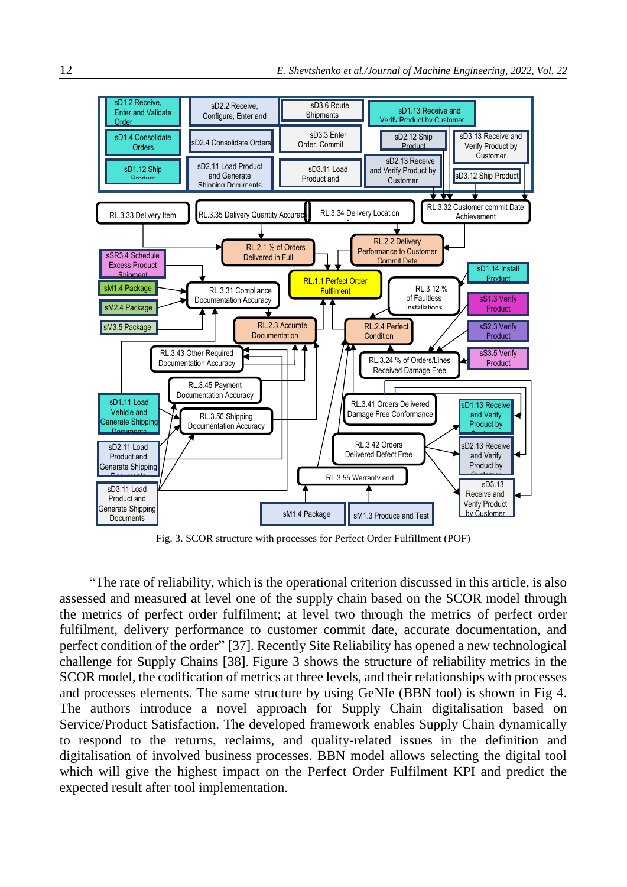

Fig. 3. SCOR structure with processes for Perfect Order Fulfillment (POF)

"The rate of reliability, which is the operational criterion discussed in this article, is also assessed and measured at level one of the supply chain based on the SCOR model through the metrics of perfect order fulfilment; at level two through the metrics of perfect order fulfilment, delivery performance to customer commit date, accurate documentation, and perfect condition of the order" [37]. Recently Site Reliability has opened a new technological challenge for Supply Chains [38]. Figure 3 shows the structure of reliability metrics in the SCOR model, the codification of metrics at three levels, and their relationships with processes and processes elements. The same structure by using GeNIe (BBN tool) is shown in Fig 4. The authors introduce a novel approach for Supply Chain digitalisation based on Service/Product Satisfaction. The developed framework enables Supply Chain dynamically to respond to the returns, reclaims, and quality-related issues in the definition and digitalisation of involved business processes. BBN model allows selecting the digital tool which will give the highest impact on the Perfect Order Fulfilment KPI and predict the expected result after tool implementation.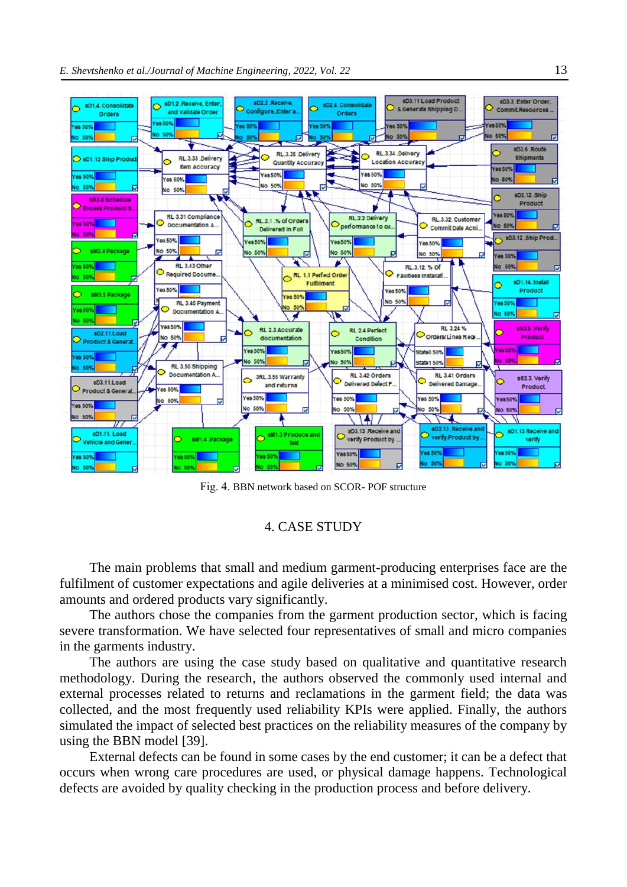

Fig. 4. BBN network based on SCOR- POF structure

### 4. CASE STUDY

The main problems that small and medium garment-producing enterprises face are the fulfilment of customer expectations and agile deliveries at a minimised cost. However, order amounts and ordered products vary significantly.

The authors chose the companies from the garment production sector, which is facing severe transformation. We have selected four representatives of small and micro companies in the garments industry.

The authors are using the case study based on qualitative and quantitative research methodology. During the research, the authors observed the commonly used internal and external processes related to returns and reclamations in the garment field; the data was collected, and the most frequently used reliability KPIs were applied. Finally, the authors simulated the impact of selected best practices on the reliability measures of the company by using the BBN model [39].

External defects can be found in some cases by the end customer; it can be a defect that occurs when wrong care procedures are used, or physical damage happens. Technological defects are avoided by quality checking in the production process and before delivery.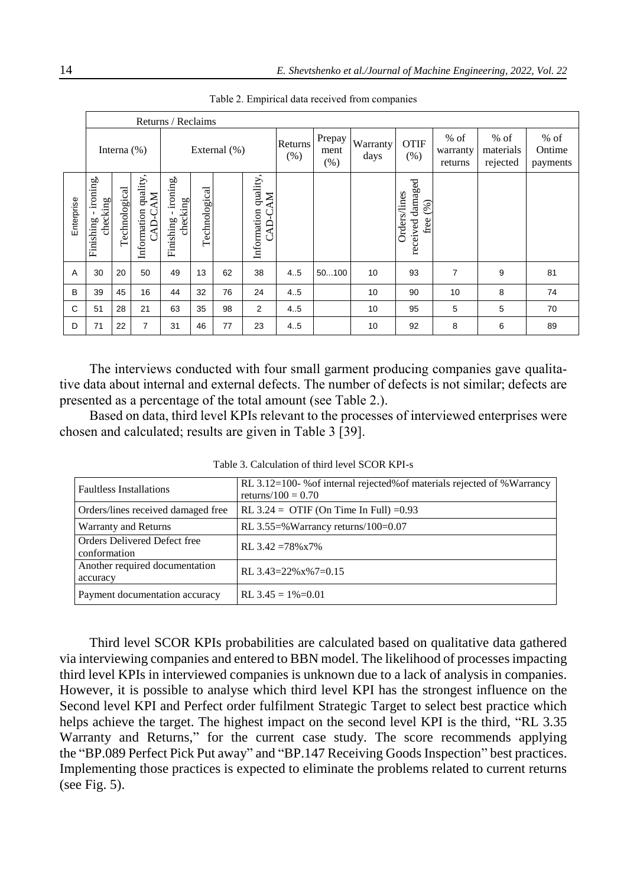|            | Returns / Reclaims                             |                |                                           |                                   |               |    |                                 |                        |                  |                     |                                                    |                                 |                              |    |
|------------|------------------------------------------------|----------------|-------------------------------------------|-----------------------------------|---------------|----|---------------------------------|------------------------|------------------|---------------------|----------------------------------------------------|---------------------------------|------------------------------|----|
|            |                                                | Interna $(\%)$ |                                           | External (%)                      |               |    | Returns<br>(%)                  | Prepay<br>ment<br>(% ) | Warranty<br>days | <b>OTIF</b><br>(% ) | $%$ of<br>warranty<br>returns                      | $%$ of<br>materials<br>rejected | $%$ of<br>Ontime<br>payments |    |
| Enterprise | $\bullet$<br>ironing,<br>checking<br>Finishing | Technological  | Information quality<br><b>NN</b><br>CAD-C | ironing,<br>checking<br>Finishing | Technological |    | Information quality,<br>CAD-CAM |                        |                  |                     | damaged<br>Orders/lines<br>(%)<br>free<br>received |                                 |                              |    |
| Α          | 30                                             | 20             | 50                                        | 49                                | 13            | 62 | 38                              | 4.5                    | 50100            | 10                  | 93                                                 | $\overline{7}$                  | 9                            | 81 |
| B          | 39                                             | 45             | 16                                        | 44                                | 32            | 76 | 24                              | 4.5                    |                  | 10                  | 90                                                 | 10 <sup>°</sup>                 | 8                            | 74 |
| C          | 51                                             | 28             | 21                                        | 63                                | 35            | 98 | 2                               | 4.5                    |                  | 10                  | 95                                                 | 5                               | 5                            | 70 |
| D          | 71                                             | 22             | $\overline{7}$                            | 31                                | 46            | 77 | 23                              | 4.5                    |                  | 10                  | 92                                                 | 8                               | 6                            | 89 |

Table 2. Empirical data received from companies

The interviews conducted with four small garment producing companies gave qualitative data about internal and external defects. The number of defects is not similar; defects are presented as a percentage of the total amount (see Table 2.).

Based on data, third level KPIs relevant to the processes of interviewed enterprises were chosen and calculated; results are given in Table 3 [39].

| <b>Faultless Installations</b>               | RL 3.12=100- % of internal rejected% of materials rejected of %Warrancy<br>returns/100 = $0.70$ |
|----------------------------------------------|-------------------------------------------------------------------------------------------------|
| Orders/lines received damaged free           | RL $3.24 =$ OTIF (On Time In Full) = 0.93                                                       |
| Warranty and Returns                         | RL 3.55=% Warrancy returns/100=0.07                                                             |
| Orders Delivered Defect free<br>conformation | RL $3.42 = 78\% \times 7\%$                                                                     |
| Another required documentation<br>accuracy   | RL $3.43=22\%x\%7=0.15$                                                                         |
| Payment documentation accuracy               | RL $3.45 = 1\% = 0.01$                                                                          |

Table 3. Calculation of third level SCOR KPI-s

Third level SCOR KPIs probabilities are calculated based on qualitative data gathered via interviewing companies and entered to BBN model. The likelihood of processes impacting third level KPIs in interviewed companies is unknown due to a lack of analysis in companies. However, it is possible to analyse which third level KPI has the strongest influence on the Second level KPI and Perfect order fulfilment Strategic Target to select best practice which helps achieve the target. The highest impact on the second level KPI is the third, "RL 3.35 Warranty and Returns," for the current case study. The score recommends applying the "BP.089 Perfect Pick Put away" and "BP.147 Receiving Goods Inspection" best practices. Implementing those practices is expected to eliminate the problems related to current returns (see Fig. 5).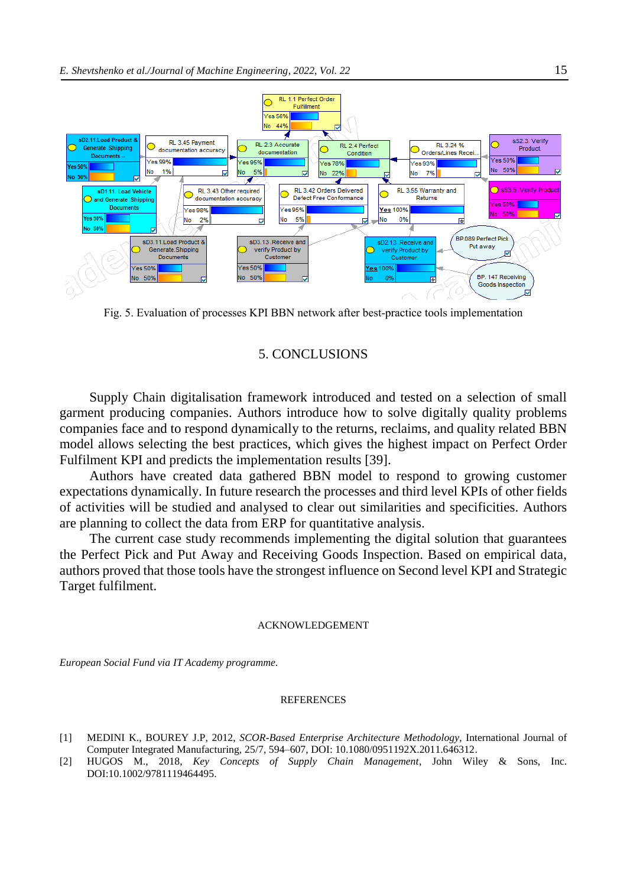

Fig. 5. Evaluation of processes KPI BBN network after best-practice tools implementation

## 5. CONCLUSIONS

Supply Chain digitalisation framework introduced and tested on a selection of small garment producing companies. Authors introduce how to solve digitally quality problems companies face and to respond dynamically to the returns, reclaims, and quality related BBN model allows selecting the best practices, which gives the highest impact on Perfect Order Fulfilment KPI and predicts the implementation results [39].

Authors have created data gathered BBN model to respond to growing customer expectations dynamically. In future research the processes and third level KPIs of other fields of activities will be studied and analysed to clear out similarities and specificities. Authors are planning to collect the data from ERP for quantitative analysis.

The current case study recommends implementing the digital solution that guarantees the Perfect Pick and Put Away and Receiving Goods Inspection. Based on empirical data, authors proved that those tools have the strongest influence on Second level KPI and Strategic Target fulfilment.

#### ACKNOWLEDGEMENT

*European Social Fund via IT Academy programme.*

#### REFERENCES

- [1] MEDINI K., BOUREY J.P, 2012, *SCOR-Based Enterprise Architecture Methodology*, International Journal of Computer Integrated Manufacturing, 25/7, 594–607, DOI: 10.1080/0951192X.2011.646312.
- [2] HUGOS M., 2018, *Key Concepts of Supply Chain Management*, John Wiley & Sons, Inc. DOI:10.1002/9781119464495.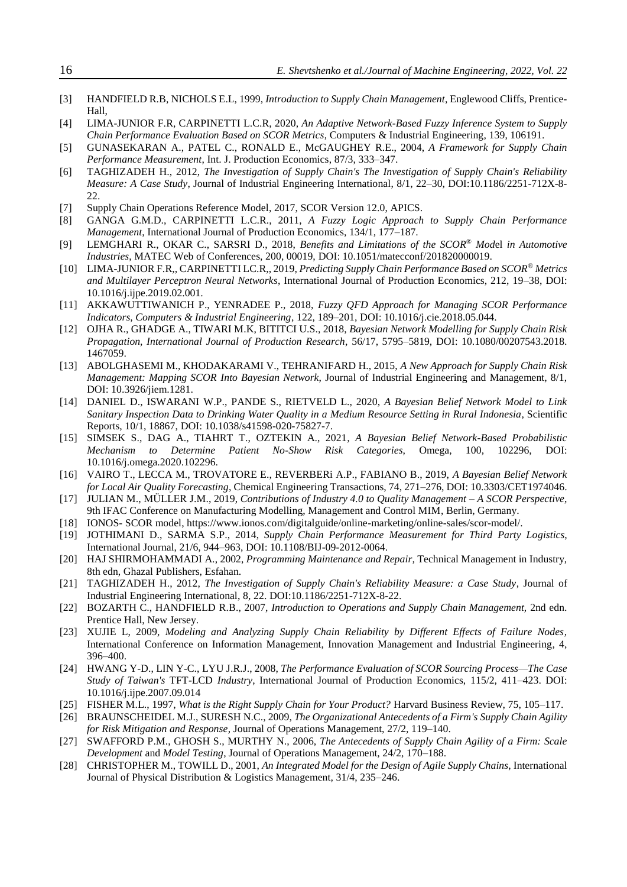| $[3]$  | HANDFIELD R.B, NICHOLS E.L, 1999, Introduction to Supply Chain Management, Englewood Cliffs, Prentice-<br>Hall,                                                                                                          |
|--------|--------------------------------------------------------------------------------------------------------------------------------------------------------------------------------------------------------------------------|
| $[4]$  | LIMA-JUNIOR F.R, CARPINETTI L.C.R, 2020, An Adaptive Network-Based Fuzzy Inference System to Supply<br>Chain Performance Evaluation Based on SCOR Metrics, Computers & Industrial Engineering, 139, 106191.              |
| $[5]$  | GUNASEKARAN A., PATEL C., RONALD E., McGAUGHEY R.E., 2004, A Framework for Supply Chain<br>Performance Measurement, Int. J. Production Economics, 87/3, 333-347.                                                         |
| [6]    | TAGHIZADEH H., 2012, The Investigation of Supply Chain's The Investigation of Supply Chain's Reliability<br>Measure: A Case Study, Journal of Industrial Engineering International, 8/1, 22-30, DOI:10.1186/2251-712X-8- |
|        | 22.                                                                                                                                                                                                                      |
| $[7]$  | Supply Chain Operations Reference Model, 2017, SCOR Version 12.0, APICS.                                                                                                                                                 |
| [8]    | GANGA G.M.D., CARPINETTI L.C.R., 2011, A Fuzzy Logic Approach to Supply Chain Performance<br>Management, International Journal of Production Economics, 134/1, 177-187.                                                  |
| [9]    | LEMGHARI R., OKAR C., SARSRI D., 2018, Benefits and Limitations of the SCOR® Model in Automotive<br>Industries, MATEC Web of Conferences, 200, 00019, DOI: 10.1051/matecconf/201820000019.                               |
| $[10]$ | LIMA-JUNIOR F.R., CARPINETTI LC.R., 2019, Predicting Supply Chain Performance Based on SCOR® Metrics                                                                                                                     |
|        | and Multilayer Perceptron Neural Networks, International Journal of Production Economics, 212, 19-38, DOI:                                                                                                               |
| $[11]$ | 10.1016/j.ijpe.2019.02.001.<br>AKKAWUTTIWANICH P., YENRADEE P., 2018, Fuzzy QFD Approach for Managing SCOR Performance                                                                                                   |
|        | Indicators, Computers & Industrial Engineering, 122, 189-201, DOI: 10.1016/j.cie.2018.05.044.                                                                                                                            |
| $[12]$ | OJHA R., GHADGE A., TIWARI M.K, BITITCI U.S., 2018, Bayesian Network Modelling for Supply Chain Risk<br>Propagation, International Journal of Production Research, 56/17, 5795-5819, DOI: 10.1080/00207543.2018.         |
|        | 1467059.                                                                                                                                                                                                                 |
| $[13]$ | ABOLGHASEMI M., KHODAKARAMI V., TEHRANIFARD H., 2015, A New Approach for Supply Chain Risk                                                                                                                               |
|        | Management: Mapping SCOR Into Bayesian Network, Journal of Industrial Engineering and Management, 8/1,                                                                                                                   |
|        | DOI: 10.3926/jiem.1281.                                                                                                                                                                                                  |
| $[14]$ | DANIEL D., ISWARANI W.P., PANDE S., RIETVELD L., 2020, A Bayesian Belief Network Model to Link<br>Sanitary Inspection Data to Drinking Water Quality in a Medium Resource Setting in Rural Indonesia, Scientific         |
|        | Reports, 10/1, 18867, DOI: 10.1038/s41598-020-75827-7.                                                                                                                                                                   |
| $[15]$ | SIMSEK S., DAG A., TIAHRT T., OZTEKIN A., 2021, A Bayesian Belief Network-Based Probabilistic                                                                                                                            |
|        | to Determine<br>Patient No-Show<br>Risk<br>Categories,<br>Omega,<br>Mechanism<br>100.<br>102296.<br>DOI:                                                                                                                 |
|        | 10.1016/j.omega.2020.102296.                                                                                                                                                                                             |
| $[16]$ | VAIRO T., LECCA M., TROVATORE E., REVERBERI A.P., FABIANO B., 2019, A Bayesian Belief Network                                                                                                                            |
|        | for Local Air Quality Forecasting, Chemical Engineering Transactions, 74, 271-276, DOI: 10.3303/CET1974046.                                                                                                              |
| $[17]$ | JULIAN M., MÜLLER J.M., 2019, Contributions of Industry 4.0 to Quality Management - A SCOR Perspective,<br>9th IFAC Conference on Manufacturing Modelling, Management and Control MIM, Berlin, Germany.                  |
| $[18]$ | IONOS- SCOR model, https://www.ionos.com/digitalguide/online-marketing/online-sales/scor-model/.                                                                                                                         |
| $[19]$ | JOTHIMANI D., SARMA S.P., 2014, Supply Chain Performance Measurement for Third Party Logistics,                                                                                                                          |
|        | International Journal, 21/6, 944-963, DOI: 10.1108/BIJ-09-2012-0064.                                                                                                                                                     |
| $[20]$ | HAJ SHIRMOHAMMADI A., 2002, Programming Maintenance and Repair, Technical Management in Industry,                                                                                                                        |
|        | 8th edn, Ghazal Publishers, Esfahan.                                                                                                                                                                                     |
| $[21]$ | TAGHIZADEH H., 2012, The Investigation of Supply Chain's Reliability Measure: a Case Study, Journal of                                                                                                                   |
|        | Industrial Engineering International, 8, 22. DOI:10.1186/2251-712X-8-22.                                                                                                                                                 |
| $[22]$ | BOZARTH C., HANDFIELD R.B., 2007, Introduction to Operations and Supply Chain Management, 2nd edn.<br>Prentice Hall, New Jersey.                                                                                         |
| $[23]$ | XUJIE L, 2009, Modeling and Analyzing Supply Chain Reliability by Different Effects of Failure Nodes,                                                                                                                    |
|        | International Conference on Information Management, Innovation Management and Industrial Engineering, 4,                                                                                                                 |
|        | 396-400.                                                                                                                                                                                                                 |
| $[24]$ | HWANG Y-D., LIN Y-C., LYU J.R.J., 2008, The Performance Evaluation of SCOR Sourcing Process-The Case                                                                                                                     |
|        | Study of Taiwan's TFT-LCD Industry, International Journal of Production Economics, 115/2, 411-423. DOI:                                                                                                                  |
|        | 10.1016/j.ijpe.2007.09.014                                                                                                                                                                                               |
| $[25]$ | FISHER M.L., 1997, What is the Right Supply Chain for Your Product? Harvard Business Review, 75, 105-117.                                                                                                                |
| $[26]$ | BRAUNSCHEIDEL M.J., SURESH N.C., 2009, The Organizational Antecedents of a Firm's Supply Chain Agility<br>for Risk Mitigation and Response, Journal of Operations Management, 27/2, 119-140.                             |
| $[27]$ | SWAFFORD P.M., GHOSH S., MURTHY N., 2006, The Antecedents of Supply Chain Agility of a Firm: Scale                                                                                                                       |
|        | Development and Model Testing, Journal of Operations Management, 24/2, 170-188.                                                                                                                                          |
| $[28]$ | CHRISTOPHER M., TOWILL D., 2001, An Integrated Model for the Design of Agile Supply Chains, International                                                                                                                |
|        | Journal of Physical Distribution & Logistics Management, 31/4, 235–246.                                                                                                                                                  |
|        |                                                                                                                                                                                                                          |
|        |                                                                                                                                                                                                                          |
|        |                                                                                                                                                                                                                          |
|        |                                                                                                                                                                                                                          |
|        |                                                                                                                                                                                                                          |

16 *E. Shevtshenko et al./Journal of Machine Engineering*, *2022, Vol. 22*